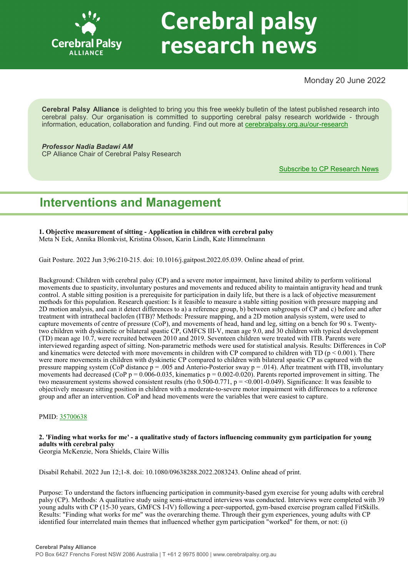

# **Cerebral palsy** research news

Monday 20 June 2022

**Cerebral Palsy Alliance** is delighted to bring you this free weekly bulletin of the latest published research into cerebral palsy. Our organisation is committed to supporting cerebral palsy research worldwide - through information, education, collaboration and funding. Find out more at [cerebralpalsy.org.au/our](https://cerebralpalsy.org.au/our-research/)-research

*Professor Nadia Badawi AM* CP Alliance Chair of Cerebral Palsy Research

[Subscribe to CP Research News](https://cerebralpalsy.org.au/our-research/get-involved-research/cp-research-newsletters/)

# **Interventions and Management**

**1. Objective measurement of sitting - Application in children with cerebral palsy** Meta N Eek, Annika Blomkvist, Kristina Olsson, Karin Lindh, Kate Himmelmann

Gait Posture. 2022 Jun 3;96:210-215. doi: 10.1016/j.gaitpost.2022.05.039. Online ahead of print.

Background: Children with cerebral palsy (CP) and a severe motor impairment, have limited ability to perform volitional movements due to spasticity, involuntary postures and movements and reduced ability to maintain antigravity head and trunk control. A stable sitting position is a prerequisite for participation in daily life, but there is a lack of objective measurement methods for this population. Research question: Is it feasible to measure a stable sitting position with pressure mapping and 2D motion analysis, and can it detect differences to a) a reference group, b) between subgroups of CP and c) before and after treatment with intrathecal baclofen (ITB)? Methods: Pressure mapping, and a 2D motion analysis system, were used to capture movements of centre of pressure (CoP), and movements of head, hand and leg, sitting on a bench for 90 s. Twentytwo children with dyskinetic or bilateral spastic CP, GMFCS III-V, mean age 9.0, and 30 children with typical development (TD) mean age 10.7, were recruited between 2010 and 2019. Seventeen children were treated with ITB. Parents were interviewed regarding aspect of sitting. Non-parametric methods were used for statistical analysis. Results: Differences in CoP and kinematics were detected with more movements in children with CP compared to children with TD ( $p < 0.001$ ). There were more movements in children with dyskinetic CP compared to children with bilateral spastic CP as captured with the pressure mapping system (CoP distance  $p = .005$  and Anterio-Posterior sway  $p = .014$ ). After treatment with ITB, involuntary movements had decreased (CoP  $p = 0.006-0.035$ , kinematics  $p = 0.002-0.020$ ). Parents reported improvement in sitting. The two measurement systems showed consistent results (rho  $0.500-0.771$ ,  $p = 0.001-0.049$ ). Significance: It was feasible to objectively measure sitting position in children with a moderate-to-severe motor impairment with differences to a reference group and after an intervention. CoP and head movements were the variables that were easiest to capture.

# PMID: [35700638](http://www.ncbi.nlm.nih.gov/pubmed/35700638)

# **2. 'Finding what works for me' - a qualitative study of factors influencing community gym participation for young adults with cerebral palsy**

Georgia McKenzie, Nora Shields, Claire Willis

Disabil Rehabil. 2022 Jun 12;1-8. doi: 10.1080/09638288.2022.2083243. Online ahead of print.

Purpose: To understand the factors influencing participation in community-based gym exercise for young adults with cerebral palsy (CP). Methods: A qualitative study using semi-structured interviews was conducted. Interviews were completed with 39 young adults with CP (15-30 years, GMFCS I-IV) following a peer-supported, gym-based exercise program called FitSkills. Results: "Finding what works for me" was the overarching theme. Through their gym experiences, young adults with CP identified four interrelated main themes that influenced whether gym participation "worked" for them, or not: (i)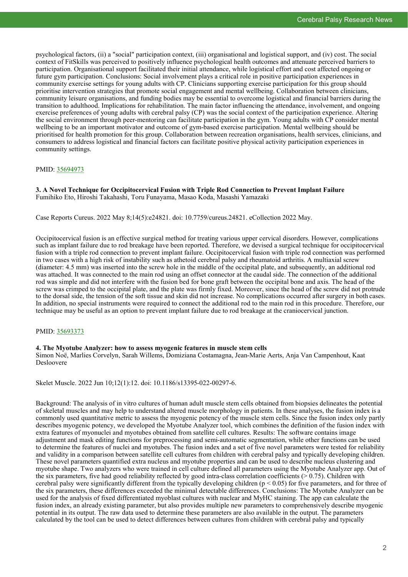psychological factors, (ii) a "social" participation context, (iii) organisational and logistical support, and (iv) cost. The social context of FitSkills was perceived to positively influence psychological health outcomes and attenuate perceived barriers to participation. Organisational support facilitated their initial attendance, while logistical effort and cost affected ongoing or future gym participation. Conclusions: Social involvement plays a critical role in positive participation experiences in community exercise settings for young adults with CP. Clinicians supporting exercise participation for this group should prioritise intervention strategies that promote social engagement and mental wellbeing. Collaboration between clinicians, community leisure organisations, and funding bodies may be essential to overcome logistical and financial barriers during the transition to adulthood. Implications for rehabilitation. The main factor influencing the attendance, involvement, and ongoing exercise preferences of young adults with cerebral palsy (CP) was the social context of the participation experience. Altering the social environment through peer-mentoring can facilitate participation in the gym. Young adults with CP consider mental wellbeing to be an important motivator and outcome of gym-based exercise participation. Mental wellbeing should be prioritised for health promotion for this group. Collaboration between recreation organisations, health services, clinicians, and consumers to address logistical and financial factors can facilitate positive physical activity participation experiences in community settings.

# PMID: [35694973](http://www.ncbi.nlm.nih.gov/pubmed/35694973)

**3. A Novel Technique for Occipitocervical Fusion with Triple Rod Connection to Prevent Implant Failure** Fumihiko Eto, Hiroshi Takahashi, Toru Funayama, Masao Koda, Masashi Yamazaki

Case Reports Cureus. 2022 May 8;14(5):e24821. doi: 10.7759/cureus.24821. eCollection 2022 May.

Occipitocervical fusion is an effective surgical method for treating various upper cervical disorders. However, complications such as implant failure due to rod breakage have been reported. Therefore, we devised a surgical technique for occipitocervical fusion with a triple rod connection to prevent implant failure. Occipitocervical fusion with triple rod connection was performed in two cases with a high risk of instability such as athetoid cerebral palsy and rheumatoid arthritis. A multiaxial screw (diameter: 4.5 mm) was inserted into the screw hole in the middle of the occipital plate, and subsequently, an additional rod was attached. It was connected to the main rod using an offset connector at the caudal side. The connection of the additional rod was simple and did not interfere with the fusion bed for bone graft between the occipital bone and axis. The head of the screw was crimped to the occipital plate, and the plate was firmly fixed. Moreover, since the head of the screw did not protrude to the dorsal side, the tension of the soft tissue and skin did not increase. No complications occurred after surgery in both cases. In addition, no special instruments were required to connect the additional rod to the main rod in this procedure. Therefore, our technique may be useful as an option to prevent implant failure due to rod breakage at the craniocervical junction.

# PMID: [35693373](http://www.ncbi.nlm.nih.gov/pubmed/35693373)

**4. The Myotube Analyzer: how to assess myogenic features in muscle stem cells**

Simon Noë, Marlies Corvelyn, Sarah Willems, Domiziana Costamagna, Jean-Marie Aerts, Anja Van Campenhout, Kaat Desloovere

Skelet Muscle. 2022 Jun 10;12(1):12. doi: 10.1186/s13395-022-00297-6.

Background: The analysis of in vitro cultures of human adult muscle stem cells obtained from biopsies delineates the potential of skeletal muscles and may help to understand altered muscle morphology in patients. In these analyses, the fusion index is a commonly used quantitative metric to assess the myogenic potency of the muscle stem cells. Since the fusion index only partly describes myogenic potency, we developed the Myotube Analyzer tool, which combines the definition of the fusion index with extra features of myonuclei and myotubes obtained from satellite cell cultures. Results: The software contains image adjustment and mask editing functions for preprocessing and semi-automatic segmentation, while other functions can be used to determine the features of nuclei and myotubes. The fusion index and a set of five novel parameters were tested for reliability and validity in a comparison between satellite cell cultures from children with cerebral palsy and typically developing children. These novel parameters quantified extra nucleus and myotube properties and can be used to describe nucleus clustering and myotube shape. Two analyzers who were trained in cell culture defined all parameters using the Myotube Analyzer app. Out of the six parameters, five had good reliability reflected by good intra-class correlation coefficients (> 0.75). Children with cerebral palsy were significantly different from the typically developing children ( $p < 0.05$ ) for five parameters, and for three of the six parameters, these differences exceeded the minimal detectable differences. Conclusions: The Myotube Analyzer can be used for the analysis of fixed differentiated myoblast cultures with nuclear and MyHC staining. The app can calculate the fusion index, an already existing parameter, but also provides multiple new parameters to comprehensively describe myogenic potential in its output. The raw data used to determine these parameters are also available in the output. The parameters calculated by the tool can be used to detect differences between cultures from children with cerebral palsy and typically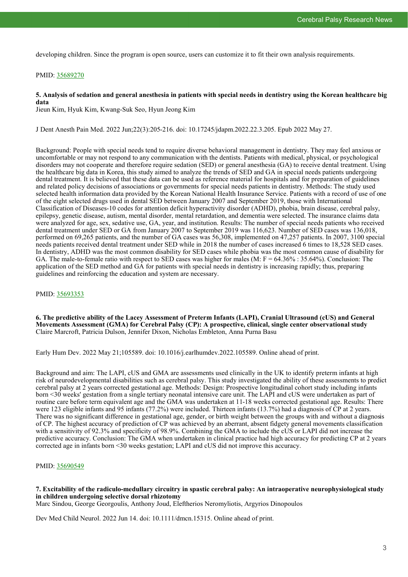developing children. Since the program is open source, users can customize it to fit their own analysis requirements.

# PMID: [35689270](http://www.ncbi.nlm.nih.gov/pubmed/35689270)

# **5. Analysis of sedation and general anesthesia in patients with special needs in dentistry using the Korean healthcare big data**

Jieun Kim, Hyuk Kim, Kwang-Suk Seo, Hyun Jeong Kim

J Dent Anesth Pain Med. 2022 Jun;22(3):205-216. doi: 10.17245/jdapm.2022.22.3.205. Epub 2022 May 27.

Background: People with special needs tend to require diverse behavioral management in dentistry. They may feel anxious or uncomfortable or may not respond to any communication with the dentists. Patients with medical, physical, or psychological disorders may not cooperate and therefore require sedation (SED) or general anesthesia (GA) to receive dental treatment. Using the healthcare big data in Korea, this study aimed to analyze the trends of SED and GA in special needs patients undergoing dental treatment. It is believed that these data can be used as reference material for hospitals and for preparation of guidelines and related policy decisions of associations or governments for special needs patients in dentistry. Methods: The study used selected health information data provided by the Korean National Health Insurance Service. Patients with a record of use of one of the eight selected drugs used in dental SED between January 2007 and September 2019, those with International Classification of Diseases-10 codes for attention deficit hyperactivity disorder (ADHD), phobia, brain disease, cerebral palsy, epilepsy, genetic disease, autism, mental disorder, mental retardation, and dementia were selected. The insurance claims data were analyzed for age, sex, sedative use, GA, year, and institution. Results: The number of special needs patients who received dental treatment under SED or GA from January 2007 to September 2019 was 116,623. Number of SED cases was 136,018, performed on 69,265 patients, and the number of GA cases was 56,308, implemented on 47,257 patients. In 2007, 3100 special needs patients received dental treatment under SED while in 2018 the number of cases increased 6 times to 18,528 SED cases. In dentistry, ADHD was the most common disability for SED cases while phobia was the most common cause of disability for GA. The male-to-female ratio with respect to SED cases was higher for males (M:  $F = 64.36\% : 35.64\%$ ). Conclusion: The application of the SED method and GA for patients with special needs in dentistry is increasing rapidly; thus, preparing guidelines and reinforcing the education and system are necessary.

# PMID: [35693353](http://www.ncbi.nlm.nih.gov/pubmed/35693353)

**6. The predictive ability of the Lacey Assessment of Preterm Infants (LAPI), Cranial Ultrasound (cUS) and General Movements Assessment (GMA) for Cerebral Palsy (CP): A prospective, clinical, single center observational study** Claire Marcroft, Patricia Dulson, Jennifer Dixon, Nicholas Embleton, Anna Purna Basu

Early Hum Dev. 2022 May 21;105589. doi: 10.1016/j.earlhumdev.2022.105589. Online ahead of print.

Background and aim: The LAPI, cUS and GMA are assessments used clinically in the UK to identify preterm infants at high risk of neurodevelopmental disabilities such as cerebral palsy. This study investigated the ability of these assessments to predict cerebral palsy at 2 years corrected gestational age. Methods: Design: Prospective longitudinal cohort study including infants born <30 weeks' gestation from a single tertiary neonatal intensive care unit. The LAPI and cUS were undertaken as part of routine care before term equivalent age and the GMA was undertaken at 11-18 weeks corrected gestational age. Results: There were 123 eligible infants and 95 infants (77.2%) were included. Thirteen infants (13.7%) had a diagnosis of CP at 2 years. There was no significant difference in gestational age, gender, or birth weight between the groups with and without a diagnosis of CP. The highest accuracy of prediction of CP was achieved by an aberrant, absent fidgety general movements classification with a sensitivity of 92.3% and specificity of 98.9%. Combining the GMA to include the cUS or LAPI did not increase the predictive accuracy. Conclusion: The GMA when undertaken in clinical practice had high accuracy for predicting CP at 2 years corrected age in infants born <30 weeks gestation; LAPI and cUS did not improve this accuracy.

# PMID: [35690549](http://www.ncbi.nlm.nih.gov/pubmed/35690549)

**7. Excitability of the radiculo-medullary circuitry in spastic cerebral palsy: An intraoperative neurophysiological study in children undergoing selective dorsal rhizotomy**

Marc Sindou, George Georgoulis, Anthony Joud, Eleftherios Neromyliotis, Argyrios Dinopoulos

Dev Med Child Neurol. 2022 Jun 14. doi: 10.1111/dmcn.15315. Online ahead of print.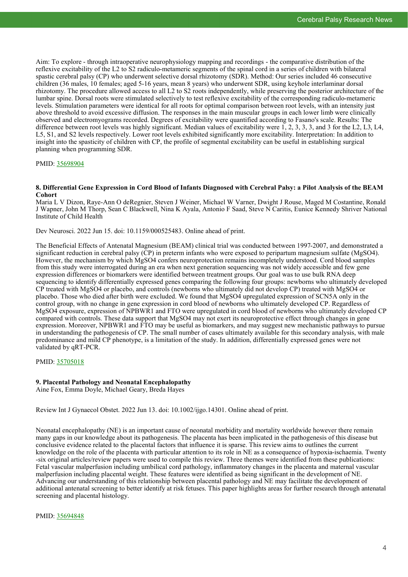Aim: To explore - through intraoperative neurophysiology mapping and recordings - the comparative distribution of the reflexive excitability of the L2 to S2 radiculo-metameric segments of the spinal cord in a series of children with bilateral spastic cerebral palsy (CP) who underwent selective dorsal rhizotomy (SDR). Method: Our series included 46 consecutive children (36 males, 10 females; aged 5-16 years, mean 8 years) who underwent SDR, using keyhole interlaminar dorsal rhizotomy. The procedure allowed access to all L2 to S2 roots independently, while preserving the posterior architecture of the lumbar spine. Dorsal roots were stimulated selectively to test reflexive excitability of the corresponding radiculo-metameric levels. Stimulation parameters were identical for all roots for optimal comparison between root levels, with an intensity just above threshold to avoid excessive diffusion. The responses in the main muscular groups in each lower limb were clinically observed and electromyograms recorded. Degrees of excitability were quantified according to Fasano's scale. Results: The difference between root levels was highly significant. Median values of excitability were 1, 2, 3, 3, 3, and 3 for the L2, L3, L4, L5, S1, and S2 levels respectively. Lower root levels exhibited significantly more excitability. Interpretation: In addition to insight into the spasticity of children with CP, the profile of segmental excitability can be useful in establishing surgical planning when programming SDR.

# PMID: [35698904](http://www.ncbi.nlm.nih.gov/pubmed/35698904)

# **8. Differential Gene Expression in Cord Blood of Infants Diagnosed with Cerebral Palsy: a Pilot Analysis of the BEAM Cohort**

Maria L V Dizon, Raye-Ann O deRegnier, Steven J Weiner, Michael W Varner, Dwight J Rouse, Maged M Costantine, Ronald J Wapner, John M Thorp, Sean C Blackwell, Nina K Ayala, Antonio F Saad, Steve N Caritis, Eunice Kennedy Shriver National Institute of Child Health

Dev Neurosci. 2022 Jun 15. doi: 10.1159/000525483. Online ahead of print.

The Beneficial Effects of Antenatal Magnesium (BEAM) clinical trial was conducted between 1997-2007, and demonstrated a significant reduction in cerebral palsy  $\overline{CP}$ ) in preterm infants who were exposed to peripartum magnesium sulfate (MgSO4). However, the mechanism by which MgSO4 confers neuroprotection remains incompletely understood. Cord blood samples from this study were interrogated during an era when next generation sequencing was not widely accessible and few gene expression differences or biomarkers were identified between treatment groups. Our goal was to use bulk RNA deep sequencing to identify differentially expressed genes comparing the following four groups: newborns who ultimately developed CP treated with MgSO4 or placebo, and controls (newborns who ultimately did not develop CP) treated with MgSO4 or placebo. Those who died after birth were excluded. We found that MgSO4 upregulated expression of SCN5A only in the control group, with no change in gene expression in cord blood of newborns who ultimately developed CP. Regardless of MgSO4 exposure, expression of NPBWR1 and FTO were upregulated in cord blood of newborns who ultimately developed CP compared with controls. These data support that MgSO4 may not exert its neuroprotective effect through changes in gene expression. Moreover, NPBWR1 and FTO may be useful as biomarkers, and may suggest new mechanistic pathways to pursue in understanding the pathogenesis of CP. The small number of cases ultimately available for this secondary analysis, with male predominance and mild CP phenotype, is a limitation of the study. In addition, differentially expressed genes were not validated by qRT-PCR.

PMID: [35705018](http://www.ncbi.nlm.nih.gov/pubmed/35705018)

# **9. Placental Pathology and Neonatal Encephalopathy**

Aine Fox, Emma Doyle, Michael Geary, Breda Hayes

Review Int J Gynaecol Obstet. 2022 Jun 13. doi: 10.1002/ijgo.14301. Online ahead of print.

Neonatal encephalopathy (NE) is an important cause of neonatal morbidity and mortality worldwide however there remain many gaps in our knowledge about its pathogenesis. The placenta has been implicated in the pathogenesis of this disease but conclusive evidence related to the placental factors that influence it is sparse. This review aims to outlines the current knowledge on the role of the placenta with particular attention to its role in NE as a consequence of hypoxia-ischaemia. Twenty -six original articles/review papers were used to compile this review. Three themes were identified from these publications: Fetal vascular malperfusion including umbilical cord pathology, inflammatory changes in the placenta and maternal vascular malperfusion including placental weight. These features were identified as being significant in the development of NE. Advancing our understanding of this relationship between placental pathology and NE may facilitate the development of additional antenatal screening to better identify at risk fetuses. This paper highlights areas for further research through antenatal screening and placental histology.

PMID: [35694848](http://www.ncbi.nlm.nih.gov/pubmed/35694848)